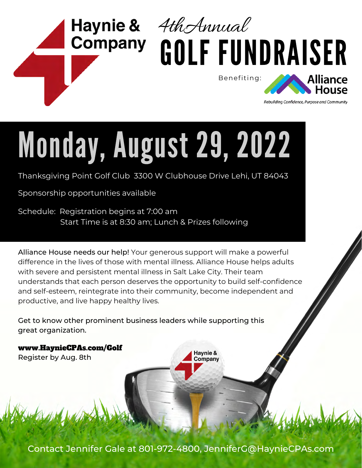

# Monday, August 29, 2022

Thanksgiving Point Golf Club 3300 W Clubhouse Drive Lehi, UT 84043

Sponsorship opportunities available

Schedule: Registration begins at 7:00 am Start Time is at 8:30 am; Lunch & Prizes following

Alliance House needs our help! Your generous support will make a powerful difference in the lives of those with mental illness. Alliance House helps adults with severe and persistent mental illness in Salt Lake City. Their team understands that each person deserves the opportunity to build self-confidence and self-esteem, reintegrate into their community, become independent and productive, and live happy healthy lives.

Get to know other prominent business leaders while supporting this great organization.

www.HaynieCPAs.com/Golf Register by Aug. 8th

Contact Jennifer Gale at 801-972-4800, JenniferG@HaynieCPAs.com

Haynie & Company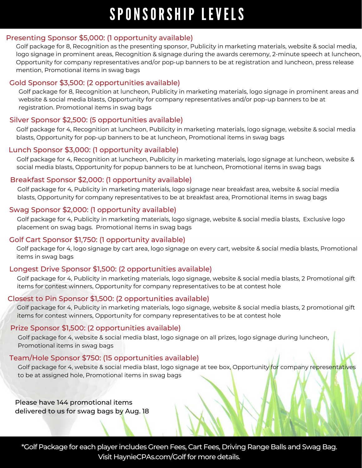# SPONSORSHIP LEVELS

#### Presenting Sponsor \$5,000: (1 opportunity available)

Golf package for 8, Recognition as the presenting sponsor, Publicity in marketing materials, website & social media, logo signage in prominent areas, Recognition & signage during the awards ceremony, 2-minute speech at luncheon, Opportunity for company representatives and/or pop-up banners to be at registration and luncheon, press release mention, Promotional items in swag bags

#### Gold Sponsor \$3,500: (2 opportunities available)

Golf package for 8, Recognition at luncheon, Publicity in marketing materials, logo signage in prominent areas and website & social media blasts, Opportunity for company representatives and/or pop-up banners to be at registration. Promotional items in swag bags

#### Silver Sponsor \$2,500: (5 opportunities available)

Golf package for 4, Recognition at luncheon, Publicity in marketing materials, logo signage, website & social media blasts, Opportunity for pop-up banners to be at luncheon, Promotional items in swag bags

#### Lunch Sponsor \$3,000: (1 opportunity available)

Golf package for 4, Recognition at luncheon, Publicity in marketing materials, logo signage at luncheon, website & social media blasts, Opportunity for popup banners to be at luncheon, Promotional items in swag bags

#### Breakfast Sponsor \$2,000: (1 opportunity available)

Golf package for 4, Publicity in marketing materials, logo signage near breakfast area, website & social media blasts, Opportunity for company representatives to be at breakfast area, Promotional items in swag bags

#### Swag Sponsor \$2,000: (1 opportunity available)

Golf package for 4, Publicity in marketing materials, logo signage, website & social media blasts, Exclusive logo placement on swag bags. Promotional items in swag bags

#### Golf Cart Sponsor \$1,750: (1 opportunity available)

Golf package for 4, logo signage by cart area, logo signage on every cart, website & social media blasts, Promotional items in swag bags

#### Longest Drive Sponsor \$1,500: (2 opportunities available)

Golf package for 4, Publicity in marketing materials, logo signage, website & social media blasts, 2 Promotional gift items for contest winners, Opportunity for company representatives to be at contest hole

#### Closest to Pin Sponsor \$1,500: (2 opportunities available)

Golf package for 4, Publicity in marketing materials, logo signage, website & social media blasts, 2 promotional gift items for contest winners, Opportunity for company representatives to be at contest hole

#### Prize Sponsor \$1,500: (2 opportunities available)

Golf package for 4, website & social media blast, logo signage on all prizes, logo signage during luncheon, Promotional items in swag bags

#### Team/Hole Sponsor \$750: (15 opportunities available)

Golf package for 4, website & social media blast, logo signage at tee box, Opportunity for company representatives to be at assigned hole, Promotional items in swag bags

Please have 144 promotional items delivered to us for swag bags by Aug. 18

\*Golf Package for each player includes Green Fees, Cart Fees, Driving Range Balls and Swag Bag. Visit HaynieCPAs.com/Golf for more details.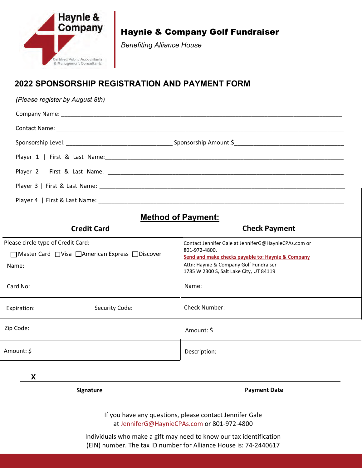

Haynie & Company Golf Fundraiser

*Benefiting Alliance House*

## **2022 SPONSORSHIP REGISTRATION AND PAYMENT FORM**

*(Please register by August 8th)*

## **Method of Payment:**

| <b>Credit Card</b>                                 | <b>Check Payment</b>                                                                                                       |
|----------------------------------------------------|----------------------------------------------------------------------------------------------------------------------------|
| Please circle type of Credit Card:                 | Contact Jennifer Gale at JenniferG@HaynieCPAs.com or<br>801-972-4800.<br>Send and make checks payable to: Haynie & Company |
| □ Master Card □ Visa □ American Express □ Discover |                                                                                                                            |
| Name:                                              | Attn: Haynie & Company Golf Fundraiser<br>1785 W 2300 S, Salt Lake City, UT 84119                                          |
| Card No:                                           | Name:                                                                                                                      |
| Security Code:<br>Expiration:                      | <b>Check Number:</b>                                                                                                       |
| Zip Code:                                          | Amount: \$                                                                                                                 |
| Amount: \$                                         | Description:                                                                                                               |

**X**

**Signature Payment Date**

If you have any questions, please contact Jennifer Gale at JenniferG@HaynieCPAs.com or 801-972-4800

Individuals who make a gift may need to know our tax identification (EIN) number. The tax ID number for Alliance House is: 74-2440617